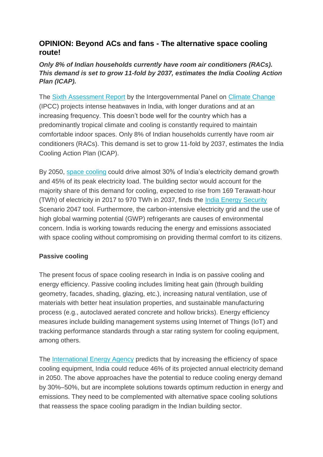## **OPINION: Beyond ACs and fans - The alternative space cooling route!**

## *Only 8% of Indian households currently have room air conditioners (RACs). This demand is set to grow 11-fold by 2037, estimates the India Cooling Action Plan (ICAP).*

The [Sixth Assessment Report](https://energy.economictimes.indiatimes.com/tag/sixth+assessment+report) by the Intergovernmental Panel on [Climate Change](https://energy.economictimes.indiatimes.com/tag/climate+change) (IPCC) projects intense heatwaves in India, with longer durations and at an increasing frequency. This doesn't bode well for the country which has a predominantly tropical climate and cooling is constantly required to maintain comfortable indoor spaces. Only 8% of Indian households currently have room air conditioners (RACs). This demand is set to grow 11-fold by 2037, estimates the India Cooling Action Plan (ICAP).

By 2050, [space cooling](https://energy.economictimes.indiatimes.com/tag/space+cooling) could drive almost 30% of India's electricity demand growth and 45% of its peak electricity load. The building sector would account for the majority share of this demand for cooling, expected to rise from 169 Terawatt-hour (TWh) of electricity in 2017 to 970 TWh in 2037, finds the [India Energy Security](https://energy.economictimes.indiatimes.com/tag/india+energy+security) Scenario 2047 tool. Furthermore, the carbon-intensive electricity grid and the use of high global warming potential (GWP) refrigerants are causes of environmental concern. India is working towards reducing the energy and emissions associated with space cooling without compromising on providing thermal comfort to its citizens.

## **Passive cooling**

The present focus of space cooling research in India is on passive cooling and energy efficiency. Passive cooling includes limiting heat gain (through building geometry, facades, shading, glazing, etc.), increasing natural ventilation, use of materials with better heat insulation properties, and sustainable manufacturing process (e.g., autoclaved aerated concrete and hollow bricks). Energy efficiency measures include building management systems using Internet of Things (IoT) and tracking performance standards through a star rating system for cooling equipment, among others.

The [International Energy Agency](https://energy.economictimes.indiatimes.com/tag/international+energy+agency) predicts that by increasing the efficiency of space cooling equipment, India could reduce 46% of its projected annual electricity demand in 2050. The above approaches have the potential to reduce cooling energy demand by 30%–50%, but are incomplete solutions towards optimum reduction in energy and emissions. They need to be complemented with alternative space cooling solutions that reassess the space cooling paradigm in the Indian building sector.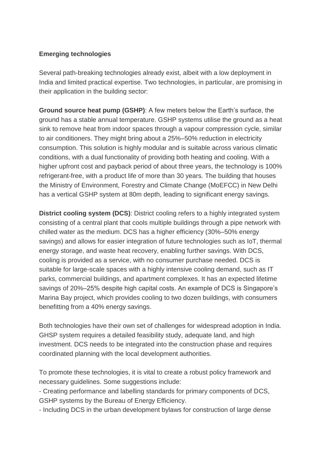## **Emerging technologies**

Several path-breaking technologies already exist, albeit with a low deployment in India and limited practical expertise. Two technologies, in particular, are promising in their application in the building sector:

**Ground source heat pump (GSHP)**: A few meters below the Earth's surface, the ground has a stable annual temperature. GSHP systems utilise the ground as a heat sink to remove heat from indoor spaces through a vapour compression cycle, similar to air conditioners. They might bring about a 25%–50% reduction in electricity consumption. This solution is highly modular and is suitable across various climatic conditions, with a dual functionality of providing both heating and cooling. With a higher upfront cost and payback period of about three years, the technology is 100% refrigerant-free, with a product life of more than 30 years. The building that houses the Ministry of Environment, Forestry and Climate Change (MoEFCC) in New Delhi has a vertical GSHP system at 80m depth, leading to significant energy savings.

**District cooling system (DCS)**: District cooling refers to a highly integrated system consisting of a central plant that cools multiple buildings through a pipe network with chilled water as the medium. DCS has a higher efficiency (30%–50% energy savings) and allows for easier integration of future technologies such as IoT, thermal energy storage, and waste heat recovery, enabling further savings. With DCS, cooling is provided as a service, with no consumer purchase needed. DCS is suitable for large-scale spaces with a highly intensive cooling demand, such as IT parks, commercial buildings, and apartment complexes. It has an expected lifetime savings of 20%–25% despite high capital costs. An example of DCS is Singapore's Marina Bay project, which provides cooling to two dozen buildings, with consumers benefitting from a 40% energy savings.

Both technologies have their own set of challenges for widespread adoption in India. GHSP system requires a detailed feasibility study, adequate land, and high investment. DCS needs to be integrated into the construction phase and requires coordinated planning with the local development authorities.

To promote these technologies, it is vital to create a robust policy framework and necessary guidelines. Some suggestions include:

- Creating performance and labelling standards for primary components of DCS, GSHP systems by the Bureau of Energy Efficiency.

- Including DCS in the urban development bylaws for construction of large dense